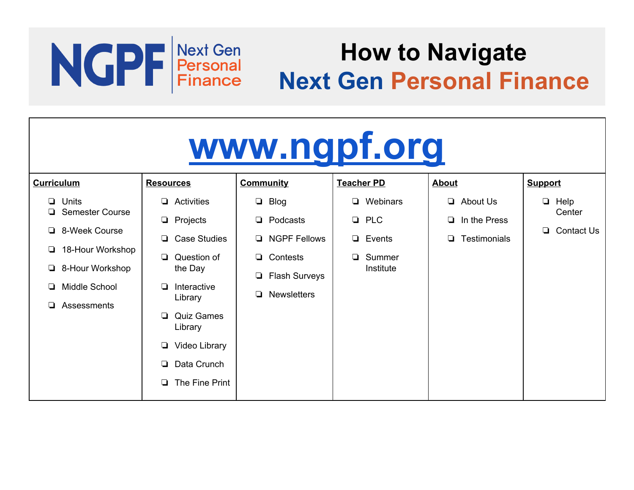## NGPF Rext Gen

## **How to Navigate Next Gen Personal Finance**

| www.ngpf.org                                                                                                                                                    |                                                                                                                                                                                                                                   |                                                                                                                              |                                                                        |                                                                               |                                                  |  |  |
|-----------------------------------------------------------------------------------------------------------------------------------------------------------------|-----------------------------------------------------------------------------------------------------------------------------------------------------------------------------------------------------------------------------------|------------------------------------------------------------------------------------------------------------------------------|------------------------------------------------------------------------|-------------------------------------------------------------------------------|--------------------------------------------------|--|--|
| <b>Curriculum</b>                                                                                                                                               | <b>Resources</b>                                                                                                                                                                                                                  | <b>Community</b>                                                                                                             | <b>Teacher PD</b>                                                      | <b>About</b>                                                                  | <b>Support</b>                                   |  |  |
| Units<br>$\Box$<br><b>Semester Course</b><br>❏<br>8-Week Course<br>❏<br>18-Hour Workshop<br>❏<br>8-Hour Workshop<br>❏<br>Middle School<br>▫<br>Assessments<br>◻ | Activities<br>❏<br>Projects<br>$\Box$<br><b>Case Studies</b><br>Q.<br>Question of<br>the Day<br>Interactive<br>◻<br>Library<br><b>Quiz Games</b><br>▫<br>Library<br>Video Library<br>❏<br>Data Crunch<br>❏<br>The Fine Print<br>❏ | Blog<br>$\Box$<br>Podcasts<br><b>NGPF Fellows</b><br>o.<br>Contests<br><b>Flash Surveys</b><br>❏<br><b>Newsletters</b><br>o. | Webinars<br>$\Box$ PLC<br>Events<br>$\Box$<br>Summer<br>▫<br>Institute | $\Box$<br>About Us<br>$\Box$<br>In the Press<br><b>Testimonials</b><br>$\Box$ | Help<br>$\Box$<br>Center<br>Contact Us<br>$\Box$ |  |  |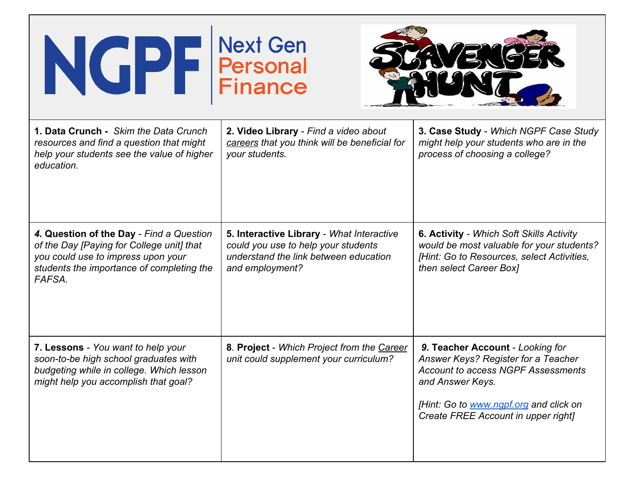| NGPFI                                                                                                                                                                              | <b>Next Gen</b><br><b>Personal</b><br><b>Finance</b>                                                                                         |                                                                                                                                                                                                                           |
|------------------------------------------------------------------------------------------------------------------------------------------------------------------------------------|----------------------------------------------------------------------------------------------------------------------------------------------|---------------------------------------------------------------------------------------------------------------------------------------------------------------------------------------------------------------------------|
| 1. Data Crunch - Skim the Data Crunch<br>resources and find a question that might<br>help your students see the value of higher<br>education.                                      | 2. Video Library - Find a video about<br>careers that you think will be beneficial for<br>your students.                                     | 3. Case Study - Which NGPF Case Study<br>might help your students who are in the<br>process of choosing a college?                                                                                                        |
| 4. Question of the Day - Find a Question<br>of the Day [Paying for College unit] that<br>you could use to impress upon your<br>students the importance of completing the<br>FAFSA. | 5. Interactive Library - What Interactive<br>could you use to help your students<br>understand the link between education<br>and employment? | <b>6. Activity - Which Soft Skills Activity</b><br>would be most valuable for your students?<br>[Hint: Go to Resources, select Activities,<br>then select Career Box]                                                     |
| 7. Lessons - You want to help your<br>soon-to-be high school graduates with<br>budgeting while in college. Which lesson<br>might help you accomplish that goal?                    | 8. Project - Which Project from the Career<br>unit could supplement your curriculum?                                                         | 9. Teacher Account - Looking for<br>Answer Keys? Register for a Teacher<br><b>Account to access NGPF Assessments</b><br>and Answer Keys.<br>[Hint: Go to www.ngpf.org and click on<br>Create FREE Account in upper right] |